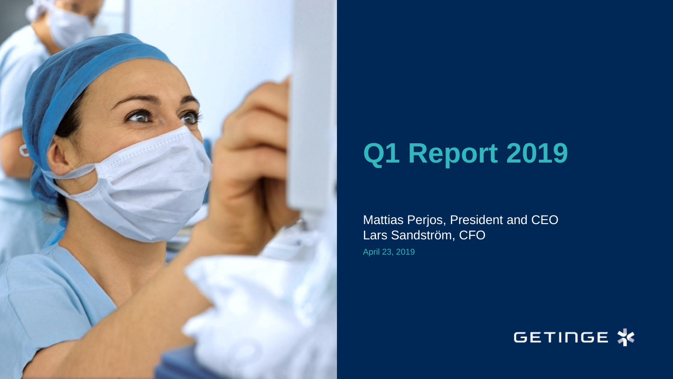

## **Q1 Report 2019**

Mattias Perjos, President and CEO Lars Sandström, CFO

April 23, 2019

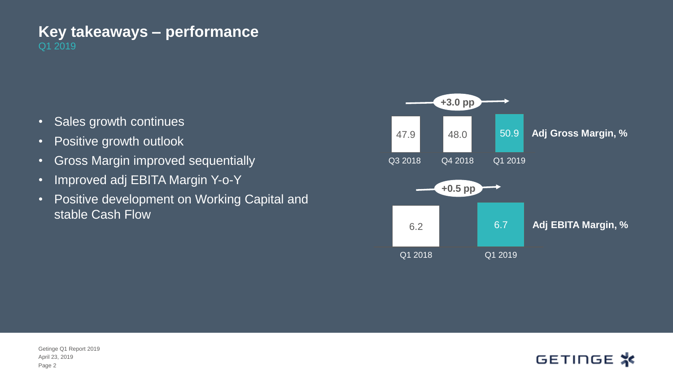#### Q1 2019 **Key takeaways – performance**

- Sales growth continues
- Positive growth outlook
- Gross Margin improved sequentially
- Improved adj EBITA Margin Y-o-Y
- Positive development on Working Capital and stable Cash Flow





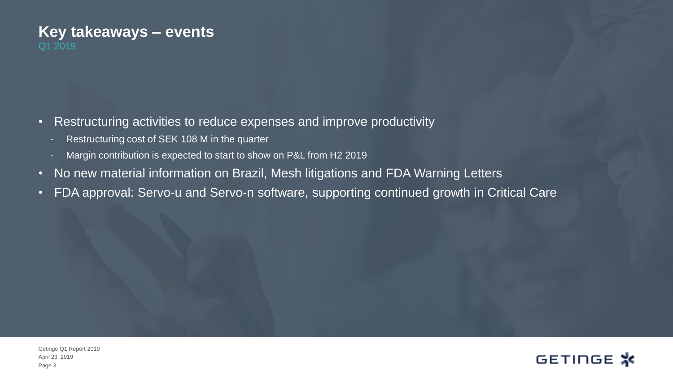#### Q1 2019 **Key takeaways – events**

- Restructuring activities to reduce expenses and improve productivity
	- Restructuring cost of SEK 108 M in the quarter
	- Margin contribution is expected to start to show on P&L from H2 2019
- No new material information on Brazil, Mesh litigations and FDA Warning Letters
- FDA approval: Servo-u and Servo-n software, supporting continued growth in Critical Care

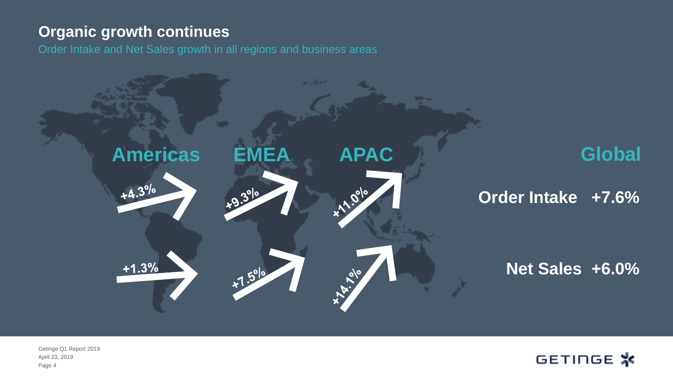### **Organic growth continues**

Order Intake and Net Sales growth in all regions and business areas



Page 4 April 23, 2019 Getinge Q1 Report 2019

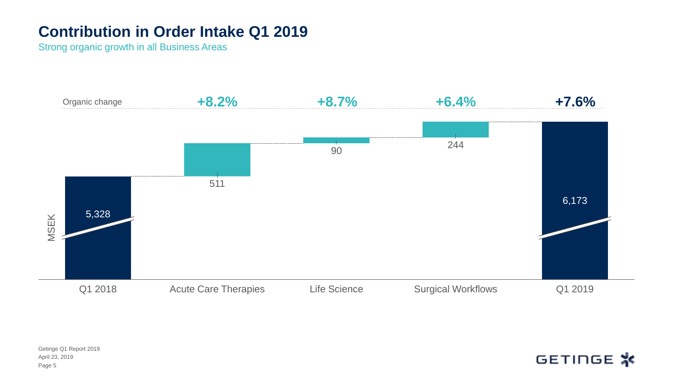## **Contribution in Order Intake Q1 2019**

Strong organic growth in all Business Areas

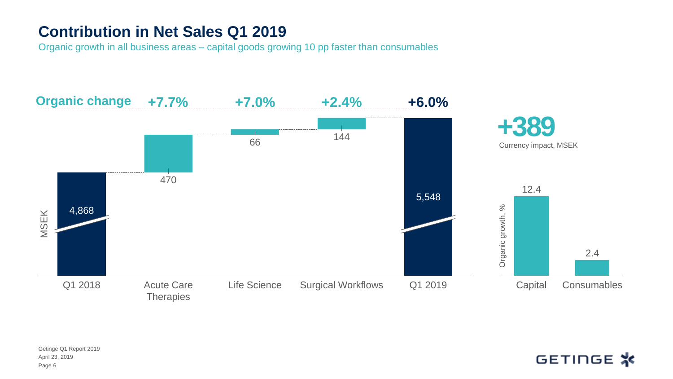## **Contribution in Net Sales Q1 2019**

Organic growth in all business areas – capital goods growing 10 pp faster than consumables

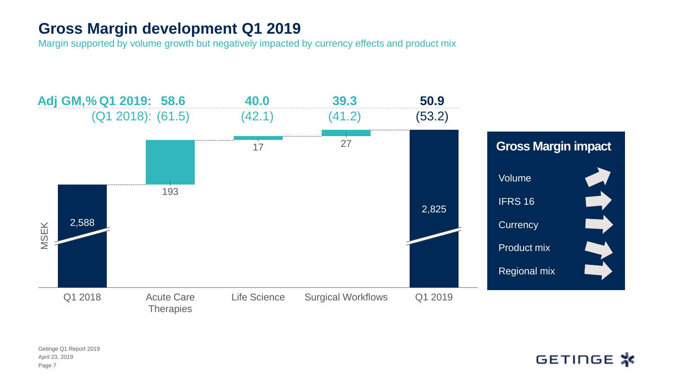## **Gross Margin development Q1 2019**

Margin supported by volume growth but negatively impacted by currency effects and product mix

![](_page_6_Figure_2.jpeg)

Page 7 April 23, 2019 Getinge Q1 Report 2019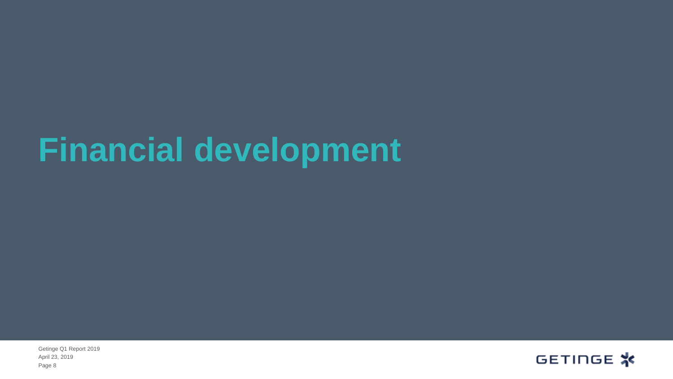## **Financial development**

Page 8 April 23, 2019 Getinge Q1 Report 2019

![](_page_7_Picture_2.jpeg)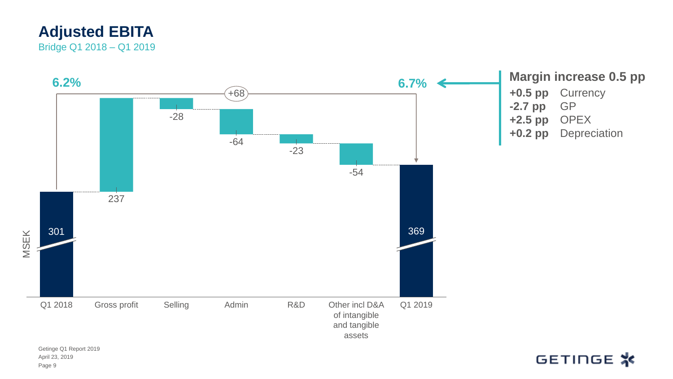### **Adjusted EBITA** Bridge Q1 2018 – Q1 2019

![](_page_8_Figure_1.jpeg)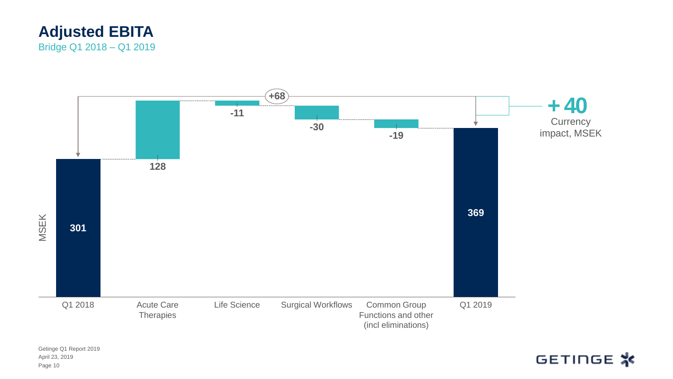![](_page_9_Picture_0.jpeg)

![](_page_9_Figure_1.jpeg)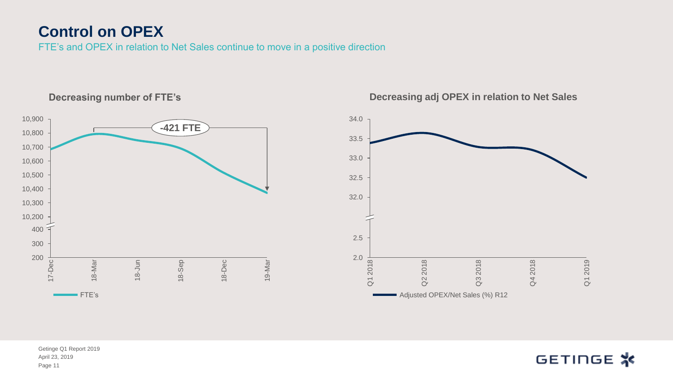## **Control on OPEX**

FTE's and OPEX in relation to Net Sales continue to move in a positive direction

![](_page_10_Figure_2.jpeg)

#### **Decreasing number of FTE's**

![](_page_10_Figure_4.jpeg)

#### **Decreasing adj OPEX in relation to Net Sales**

April 23, 2019 Getinge Q1 Report 2019 Page 11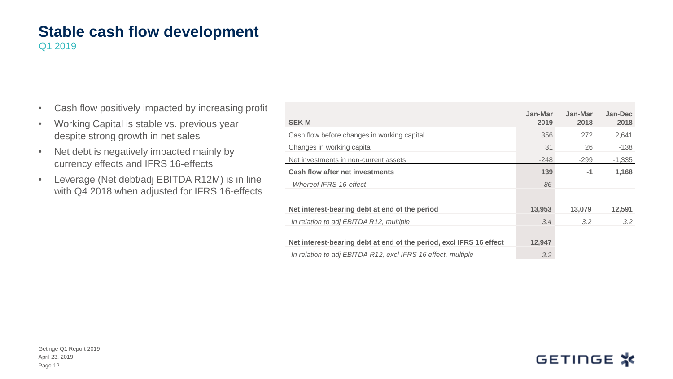## **Stable cash flow development**

Q1 2019

- Cash flow positively impacted by increasing profit
- Working Capital is stable vs. previous year despite strong growth in net sales
- Net debt is negatively impacted mainly by currency effects and IFRS 16-effects
- Leverage (Net debt/adj EBITDA R12M) is in line with Q4 2018 when adjusted for IFRS 16-effects

|                                                                     | Jan-Mar | Jan-Mar | Jan-Dec       |
|---------------------------------------------------------------------|---------|---------|---------------|
| <b>SEK M</b>                                                        | 2019    | 2018    | 2018          |
| Cash flow before changes in working capital                         | 356     | 272     | 2,641         |
| Changes in working capital                                          | 31      | 26      | $-138$        |
| Net investments in non-current assets                               | $-248$  | -299    | $-1,335$      |
| <b>Cash flow after net investments</b>                              | 139     | $-1$    | 1,168         |
| Whereof IFRS 16-effect                                              | 86      |         |               |
|                                                                     |         |         |               |
| Net interest-bearing debt at end of the period                      | 13,953  | 13,079  | 12,591        |
| In relation to adj EBITDA R12, multiple                             | 3.4     | 3.2     | $3.2^{\circ}$ |
|                                                                     |         |         |               |
| Net interest-bearing debt at end of the period, excl IFRS 16 effect | 12,947  |         |               |
| In relation to adj EBITDA R12, excl IFRS 16 effect, multiple        | 3.2     |         |               |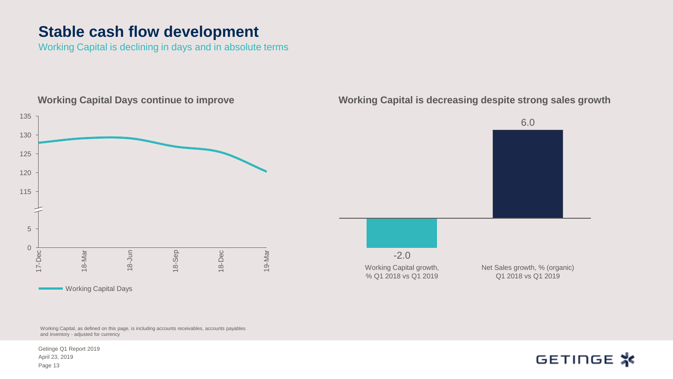### **Stable cash flow development**

Working Capital is declining in days and in absolute terms

![](_page_12_Figure_2.jpeg)

Working Capital, as defined on this page, is including accounts receivables, accounts payables and inventory - adjusted for currency

April 23, 2019 Getinge Q1 Report 2019 Page 13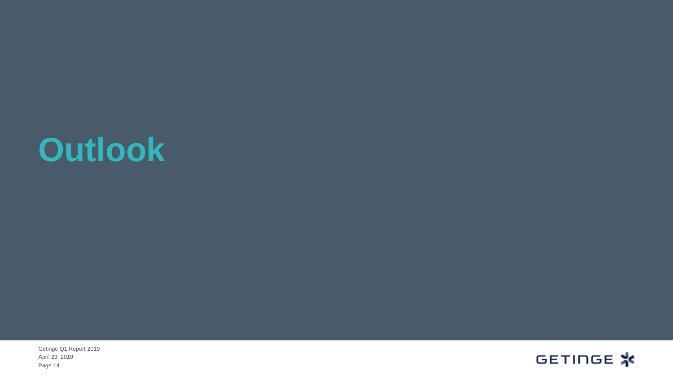## **Outlook**

Page 14 April 23, 2019 Getinge Q1 Report 2019

![](_page_13_Picture_2.jpeg)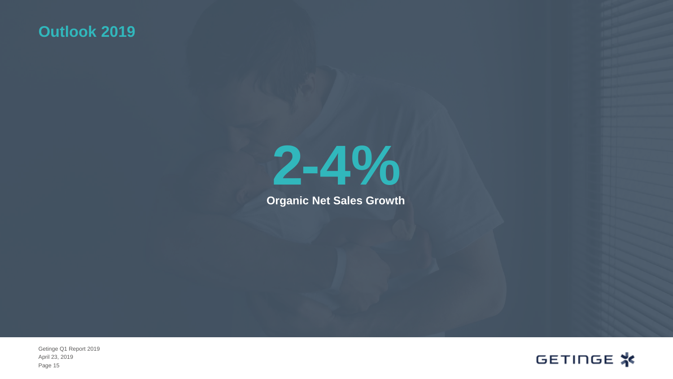## **Outlook 2019**

![](_page_14_Picture_1.jpeg)

**Organic Net Sales Growth**

Page 15 April 23, 2019 Getinge Q1 Report 2019

![](_page_14_Picture_4.jpeg)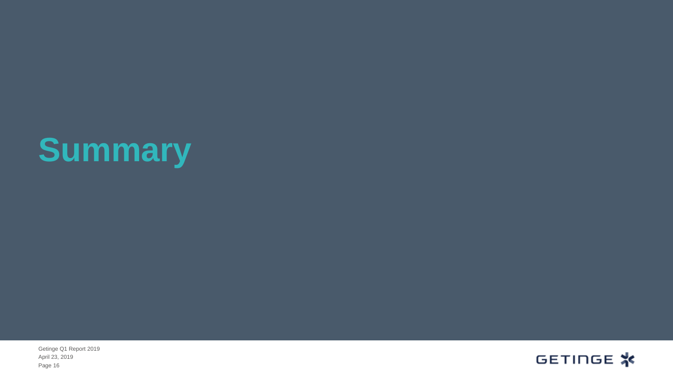# **Summary**

Page 16 April 23, 2019 Getinge Q1 Report 2019

![](_page_15_Picture_2.jpeg)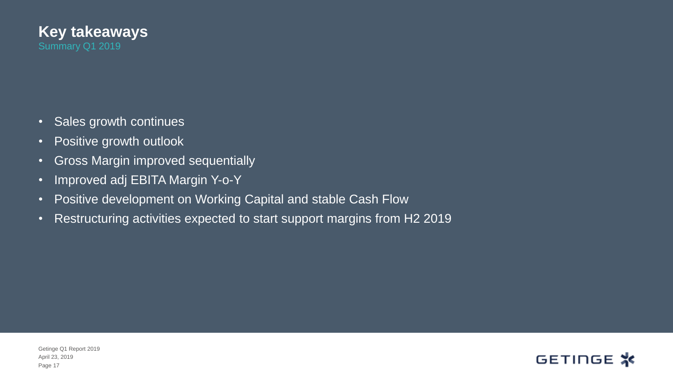![](_page_16_Picture_0.jpeg)

- Sales growth continues
- Positive growth outlook
- Gross Margin improved sequentially
- Improved adj EBITA Margin Y-o-Y
- Positive development on Working Capital and stable Cash Flow
- Restructuring activities expected to start support margins from H2 2019

![](_page_16_Picture_8.jpeg)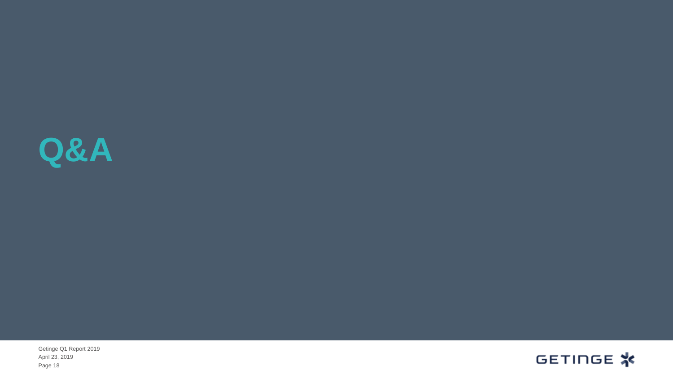![](_page_17_Picture_0.jpeg)

Page 18 April 23, 2019 Getinge Q1 Report 2019

![](_page_17_Picture_2.jpeg)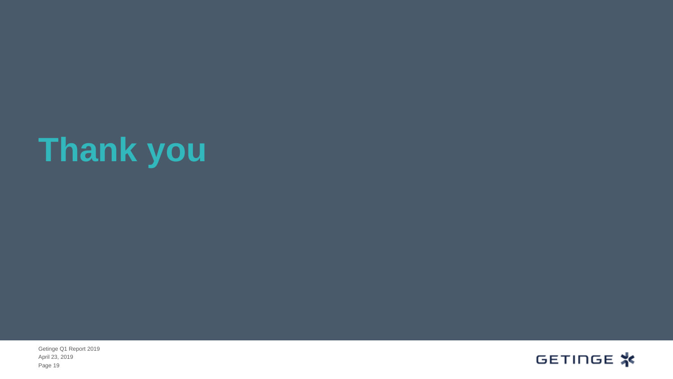# **Thank you**

Page 19 April 23, 2019 Getinge Q1 Report 2019

![](_page_18_Picture_2.jpeg)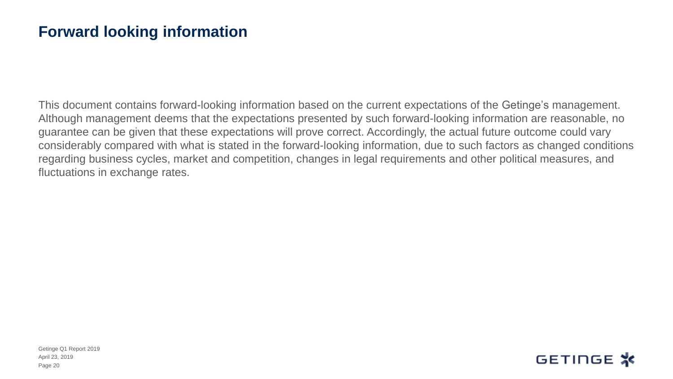### **Forward looking information**

This document contains forward-looking information based on the current expectations of the Getinge's management. Although management deems that the expectations presented by such forward-looking information are reasonable, no guarantee can be given that these expectations will prove correct. Accordingly, the actual future outcome could vary considerably compared with what is stated in the forward-looking information, due to such factors as changed conditions regarding business cycles, market and competition, changes in legal requirements and other political measures, and fluctuations in exchange rates.

![](_page_19_Picture_3.jpeg)